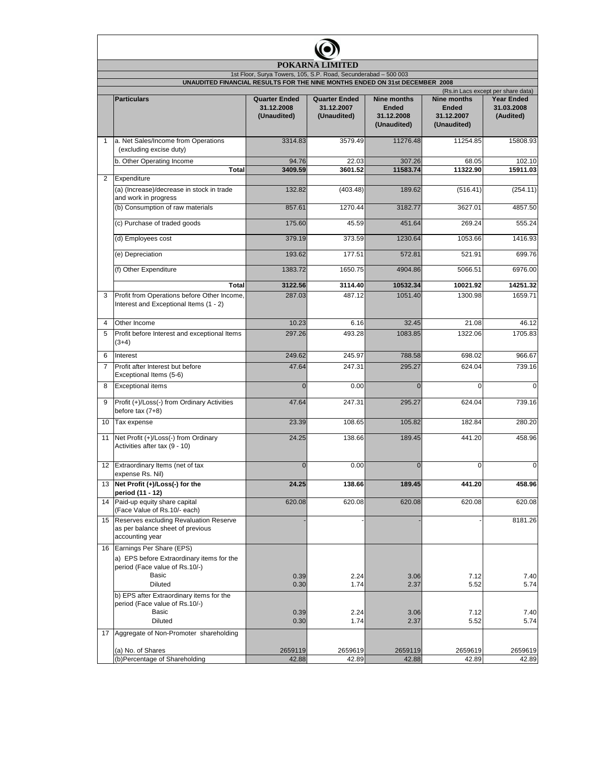| POKARNA LIMITED<br>1st Floor, Surya Towers, 105, S.P. Road, Secunderabad - 500 003<br>UNAUDITED FINANCIAL RESULTS FOR THE NINE MONTHS ENDED ON 31st DECEMBER 2008 |                                                                                                            |                  |                  |                  |                  |                  |  |  |  |   |                                                                |                                                   |                                                   |                                                                 |                                                                 |                                                                                    |
|-------------------------------------------------------------------------------------------------------------------------------------------------------------------|------------------------------------------------------------------------------------------------------------|------------------|------------------|------------------|------------------|------------------|--|--|--|---|----------------------------------------------------------------|---------------------------------------------------|---------------------------------------------------|-----------------------------------------------------------------|-----------------------------------------------------------------|------------------------------------------------------------------------------------|
|                                                                                                                                                                   |                                                                                                            |                  |                  |                  |                  |                  |  |  |  |   | <b>Particulars</b>                                             | <b>Quarter Ended</b><br>31.12.2008<br>(Unaudited) | <b>Quarter Ended</b><br>31.12.2007<br>(Unaudited) | <b>Nine months</b><br><b>Ended</b><br>31.12.2008<br>(Unaudited) | <b>Nine months</b><br><b>Ended</b><br>31.12.2007<br>(Unaudited) | (Rs.in Lacs except per share data)<br><b>Year Ended</b><br>31.03.2008<br>(Audited) |
|                                                                                                                                                                   |                                                                                                            |                  |                  |                  |                  |                  |  |  |  | 1 | a. Net Sales/Income from Operations<br>(excluding excise duty) | 3314.83                                           | 3579.49                                           | 11276.48                                                        | 11254.85                                                        | 15808.93                                                                           |
|                                                                                                                                                                   | b. Other Operating Income                                                                                  | 94.76            | 22.03            | 307.26           | 68.05            | 102.10           |  |  |  |   |                                                                |                                                   |                                                   |                                                                 |                                                                 |                                                                                    |
| $\overline{2}$                                                                                                                                                    | <b>Total</b>                                                                                               | 3409.59          | 3601.52          | 11583.74         | 11322.90         | 15911.03         |  |  |  |   |                                                                |                                                   |                                                   |                                                                 |                                                                 |                                                                                    |
|                                                                                                                                                                   | Expenditure<br>(a) (Increase)/decrease in stock in trade<br>and work in progress                           | 132.82           | (403.48)         | 189.62           | (516.41)         | (254.11)         |  |  |  |   |                                                                |                                                   |                                                   |                                                                 |                                                                 |                                                                                    |
|                                                                                                                                                                   | (b) Consumption of raw materials                                                                           | 857.61           | 1270.44          | 3182.77          | 3627.01          | 4857.50          |  |  |  |   |                                                                |                                                   |                                                   |                                                                 |                                                                 |                                                                                    |
|                                                                                                                                                                   | (c) Purchase of traded goods                                                                               | 175.60           | 45.59            | 451.64           | 269.24           | 555.24           |  |  |  |   |                                                                |                                                   |                                                   |                                                                 |                                                                 |                                                                                    |
|                                                                                                                                                                   | (d) Employees cost                                                                                         | 379.19           | 373.59           | 1230.64          | 1053.66          | 1416.93          |  |  |  |   |                                                                |                                                   |                                                   |                                                                 |                                                                 |                                                                                    |
|                                                                                                                                                                   | (e) Depreciation                                                                                           | 193.62           | 177.51           | 572.81           | 521.91           | 699.76           |  |  |  |   |                                                                |                                                   |                                                   |                                                                 |                                                                 |                                                                                    |
|                                                                                                                                                                   | (f) Other Expenditure                                                                                      | 1383.72          | 1650.75          | 4904.86          | 5066.51          | 6976.00          |  |  |  |   |                                                                |                                                   |                                                   |                                                                 |                                                                 |                                                                                    |
|                                                                                                                                                                   | <b>Total</b>                                                                                               | 3122.56          | 3114.40          | 10532.34         | 10021.92         | 14251.32         |  |  |  |   |                                                                |                                                   |                                                   |                                                                 |                                                                 |                                                                                    |
| 3                                                                                                                                                                 | Profit from Operations before Other Income,<br>Interest and Exceptional Items (1 - 2)                      | 287.03           | 487.12           | 1051.40          | 1300.98          | 1659.71          |  |  |  |   |                                                                |                                                   |                                                   |                                                                 |                                                                 |                                                                                    |
| 4                                                                                                                                                                 | Other Income                                                                                               | 10.23            | 6.16             | 32.45            | 21.08            | 46.12            |  |  |  |   |                                                                |                                                   |                                                   |                                                                 |                                                                 |                                                                                    |
| 5                                                                                                                                                                 | Profit before Interest and exceptional Items<br>$(3+4)$                                                    | 297.26           | 493.28           | 1083.85          | 1322.06          | 1705.83          |  |  |  |   |                                                                |                                                   |                                                   |                                                                 |                                                                 |                                                                                    |
| 6                                                                                                                                                                 | Interest                                                                                                   | 249.62           | 245.97           | 788.58           | 698.02           | 966.67           |  |  |  |   |                                                                |                                                   |                                                   |                                                                 |                                                                 |                                                                                    |
| $\overline{7}$                                                                                                                                                    | Profit after Interest but before<br>Exceptional Items (5-6)                                                | 47.64            | 247.31           | 295.27           | 624.04           | 739.16           |  |  |  |   |                                                                |                                                   |                                                   |                                                                 |                                                                 |                                                                                    |
| 8                                                                                                                                                                 | <b>Exceptional items</b>                                                                                   | $\Omega$         | 0.00             | $\Omega$         | $\Omega$         | $\mathbf 0$      |  |  |  |   |                                                                |                                                   |                                                   |                                                                 |                                                                 |                                                                                    |
| 9                                                                                                                                                                 | Profit (+)/Loss(-) from Ordinary Activities<br>before tax $(7+8)$                                          | 47.64            | 247.31           | 295.27           | 624.04           | 739.16           |  |  |  |   |                                                                |                                                   |                                                   |                                                                 |                                                                 |                                                                                    |
| 10                                                                                                                                                                | Tax expense                                                                                                | 23.39            | 108.65           | 105.82           | 182.84           | 280.20           |  |  |  |   |                                                                |                                                   |                                                   |                                                                 |                                                                 |                                                                                    |
| 11                                                                                                                                                                | Net Profit (+)/Loss(-) from Ordinary<br>Activities after tax (9 - 10)                                      | 24.25            | 138.66           | 189.45           | 441.20           | 458.96           |  |  |  |   |                                                                |                                                   |                                                   |                                                                 |                                                                 |                                                                                    |
|                                                                                                                                                                   | 12 Extraordinary Items (net of tax<br>expense Rs. Nil)                                                     | $\mathbf 0$      | 0.00             | $\overline{0}$   | $\overline{0}$   | $\mathbf 0$      |  |  |  |   |                                                                |                                                   |                                                   |                                                                 |                                                                 |                                                                                    |
|                                                                                                                                                                   | 13 Net Profit (+)/Loss(-) for the<br>period (11 - 12)                                                      | 24.25            | 138.66           | 189.45           | 441.20           | 458.96           |  |  |  |   |                                                                |                                                   |                                                   |                                                                 |                                                                 |                                                                                    |
| 14                                                                                                                                                                | Paid-up equity share capital<br>(Face Value of Rs.10/- each)                                               | 620.08           | 620.08           | 620.08           | 620.08           | 620.08           |  |  |  |   |                                                                |                                                   |                                                   |                                                                 |                                                                 |                                                                                    |
|                                                                                                                                                                   | 15 Reserves excluding Revaluation Reserve<br>as per balance sheet of previous<br>accounting year           |                  |                  |                  |                  | 8181.26          |  |  |  |   |                                                                |                                                   |                                                   |                                                                 |                                                                 |                                                                                    |
|                                                                                                                                                                   | 16 Earnings Per Share (EPS)<br>a) EPS before Extraordinary items for the<br>period (Face value of Rs.10/-) |                  |                  |                  |                  |                  |  |  |  |   |                                                                |                                                   |                                                   |                                                                 |                                                                 |                                                                                    |
|                                                                                                                                                                   | Basic<br><b>Diluted</b>                                                                                    | 0.39<br>0.30     | 2.24<br>1.74     | 3.06<br>2.37     | 7.12<br>5.52     | 7.40<br>5.74     |  |  |  |   |                                                                |                                                   |                                                   |                                                                 |                                                                 |                                                                                    |
|                                                                                                                                                                   | b) EPS after Extraordinary items for the<br>period (Face value of Rs.10/-)<br>Basic                        | 0.39             | 2.24             | 3.06             | 7.12             | 7.40             |  |  |  |   |                                                                |                                                   |                                                   |                                                                 |                                                                 |                                                                                    |
|                                                                                                                                                                   | <b>Diluted</b>                                                                                             | 0.30             | 1.74             | 2.37             | 5.52             | 5.74             |  |  |  |   |                                                                |                                                   |                                                   |                                                                 |                                                                 |                                                                                    |
| 17                                                                                                                                                                | Aggregate of Non-Promoter shareholding                                                                     |                  |                  |                  |                  |                  |  |  |  |   |                                                                |                                                   |                                                   |                                                                 |                                                                 |                                                                                    |
|                                                                                                                                                                   | (a) No. of Shares<br>(b)Percentage of Shareholding                                                         | 2659119<br>42.88 | 2659619<br>42.89 | 2659119<br>42.88 | 2659619<br>42.89 | 2659619<br>42.89 |  |  |  |   |                                                                |                                                   |                                                   |                                                                 |                                                                 |                                                                                    |